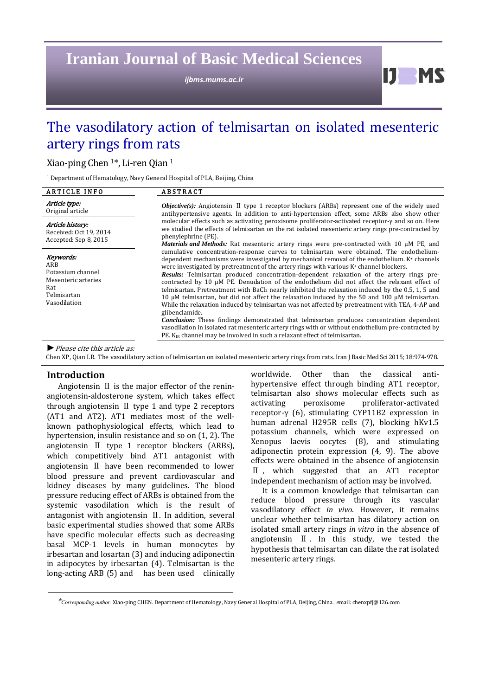**Iranian Journal of Basic Medical Sciences** 

*ijbms.mums.ac.ir*

IJ. **MC** 

# The vasodilatory action of telmisartan on isolated mesenteric artery rings from rats

Xiao-ping Chen  $1^*$ , Li-ren Qian  $1^*$ 

 $1$  Department of Hematology, Navy General Hospital of PLA, Beijing, China

| <b>ARTICLE INFO</b>                                                                                | <b>ABSTRACT</b>                                                                                                                                                                                                                                                                                                                                                                                                                                                                                                                                                                                                                                                                                                                                                                                                                                                                                                                                                                                                                                                                                                                                                                                                                                                                                                                                                                                                                                                                                                                                                                                                                                                                           |
|----------------------------------------------------------------------------------------------------|-------------------------------------------------------------------------------------------------------------------------------------------------------------------------------------------------------------------------------------------------------------------------------------------------------------------------------------------------------------------------------------------------------------------------------------------------------------------------------------------------------------------------------------------------------------------------------------------------------------------------------------------------------------------------------------------------------------------------------------------------------------------------------------------------------------------------------------------------------------------------------------------------------------------------------------------------------------------------------------------------------------------------------------------------------------------------------------------------------------------------------------------------------------------------------------------------------------------------------------------------------------------------------------------------------------------------------------------------------------------------------------------------------------------------------------------------------------------------------------------------------------------------------------------------------------------------------------------------------------------------------------------------------------------------------------------|
| Article type:<br>Original article                                                                  | <i>Objective(s):</i> Angiotensin $\Pi$ type 1 receptor blockers (ARBs) represent one of the widely used<br>antihypertensive agents. In addition to anti-hypertension effect, some ARBs also show other<br>molecular effects such as activating peroxisome proliferator-activated receptor-y and so on. Here<br>we studied the effects of telmisartan on the rat isolated mesenteric artery rings pre-contracted by<br>phenylephrine (PE).<br><i>Materials and Methods:</i> Rat mesenteric artery rings were pre-contracted with 10 μM PE, and<br>cumulative concentration-response curves to telmisartan were obtained. The endothelium-<br>dependent mechanisms were investigated by mechanical removal of the endothelium. K+ channels<br>were investigated by pretreatment of the artery rings with various K <sup>+</sup> channel blockers.<br>Results: Telmisartan produced concentration-dependent relaxation of the artery rings pre-<br>contracted by 10 µM PE. Denudation of the endothelium did not affect the relaxant effect of<br>telmisartan. Pretreatment with BaCl <sub>2</sub> nearly inhibited the relaxation induced by the 0.5, 1, 5 and<br>10 $\mu$ M telmisartan, but did not affect the relaxation induced by the 50 and 100 $\mu$ M telmisartan.<br>While the relaxation induced by telmisartan was not affected by pretreatment with TEA, 4-AP and<br>glibenclamide.<br>Conclusion: These findings demonstrated that telmisartan produces concentration dependent<br>vasodilation in isolated rat mesenteric artery rings with or without endothelium pre-contracted by<br>PE. K <sub>IR</sub> channel may be involved in such a relaxant effect of telmisartan. |
| Article history:<br>Received: Oct 19, 2014<br>Accepted: Sep 8, 2015                                |                                                                                                                                                                                                                                                                                                                                                                                                                                                                                                                                                                                                                                                                                                                                                                                                                                                                                                                                                                                                                                                                                                                                                                                                                                                                                                                                                                                                                                                                                                                                                                                                                                                                                           |
| Keywords:<br>ARB<br>Potassium channel<br>Mesenteric arteries<br>Rat<br>Telmisartan<br>Vasodilation |                                                                                                                                                                                                                                                                                                                                                                                                                                                                                                                                                                                                                                                                                                                                                                                                                                                                                                                                                                                                                                                                                                                                                                                                                                                                                                                                                                                                                                                                                                                                                                                                                                                                                           |
| $\blacktriangleright$ Please cite this article as:                                                 |                                                                                                                                                                                                                                                                                                                                                                                                                                                                                                                                                                                                                                                                                                                                                                                                                                                                                                                                                                                                                                                                                                                                                                                                                                                                                                                                                                                                                                                                                                                                                                                                                                                                                           |

Chen XP, Qian LR. The vasodilatory action of telmisartan on isolated mesenteric artery rings from rats. Iran J Basic Med Sci 2015; 18:974-978.

# **Introduction**

Angiotensin  $\mathbb I$  is the major effector of the reninangiotensin-aldosterone system, which takes effect through angiotensin  $\mathbb I$  type 1 and type 2 receptors (AT1 and AT2). AT1 mediates most of the wellknown pathophysiological effects, which lead to hypertension, insulin resistance and so on  $(1, 2)$ . The angiotensin II type 1 receptor blockers (ARBs), which competitively bind AT1 antagonist with angiotensin  $\mathbb I$  have been recommended to lower blood pressure and prevent cardiovascular and kidney diseases by many guidelines. The blood pressure reducing effect of ARBs is obtained from the systemic vasodilation which is the result of antagonist with angiotensin  $\mathbb I$ . In addition, several basic experimental studies showed that some ARBs have specific molecular effects such as decreasing basal MCP-1 levels in human monocytes by irbesartan and losartan (3) and inducing adiponectin in adipocytes by irbesartan  $(4)$ . Telmisartan is the long-acting ARB (5) and has been used clinically

worldwide. Other than the classical antihypertensive effect through binding AT1 receptor, telmisartan also shows molecular effects such as activating peroxisome proliferator‐activated receptor-γ (6), stimulating CYP11B2 expression in human adrenal H295R cells (7), blocking hKv1.5 potassium channels, which were expressed on Xenopus laevis oocytes (8), and stimulating adiponectin protein expression  $(4, 9)$ . The above effects were obtained in the absence of angiotensin  $II$ , which suggested that an AT1 receptor independent mechanism of action may be involved.

It is a common knowledge that telmisartan can reduce blood pressure through its vascular vasodilatory effect *in vivo*. However, it remains unclear whether telmisartan has dilatory action on isolated small artery rings in vitro in the absence of angiotensin  $\mathbb I$ . In this study, we tested the hypothesis that telmisartan can dilate the rat isolated mesenteric artery rings.

*<sup>\*</sup>Corresponding author:* Xiao‐ping CHEN. Department of Hematology, Navy General Hospital of PLA, Beijing, China. *e*mail: chenxpfj@126.com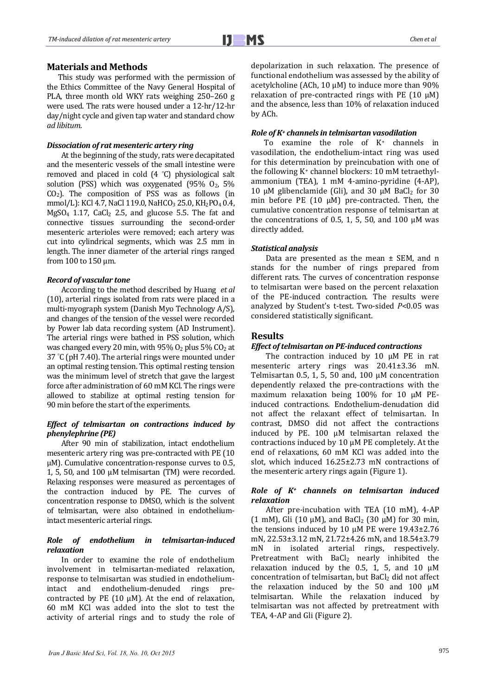## **Materials and Methods**

This study was performed with the permission of the Ethics Committee of the Navy General Hospital of PLA, three month old WKY rats weighing  $250-260$  g were used. The rats were housed under a  $12$ -hr/12-hr day/night cycle and given tap water and standard chow *ad libitum*. 

#### *Dissociation of rat mesenteric artery ring*

At the beginning of the study, rats were decapitated and the mesenteric vessels of the small intestine were removed and placed in cold  $(4 \degree C)$  physiological salt solution (PSS) which was oxygenated  $(95\% \space O_2, \space 5\%)$  $CO<sub>2</sub>$ ). The composition of PSS was as follows (in mmol/L): KCl 4.7, NaCl 119.0, NaHCO<sub>3</sub> 25.0, KH<sub>2</sub>PO<sub>4</sub> 0.4,  $MgSO_4$  1.17,  $CaCl_2$  2.5, and glucose 5.5. The fat and connective tissues surrounding the second‐order mesenteric arterioles were removed: each artery was cut into cylindrical segments, which was 2.5 mm in length. The inner diameter of the arterial rings ranged from 100 to 150 um.

#### *Record of vascular tone*

According to the method described by Huang *et al* (10), arterial rings isolated from rats were placed in a multi-myograph system (Danish Myo Technology A/S), and changes of the tension of the vessel were recorded by Power lab data recording system (AD Instrument). The arterial rings were bathed in PSS solution, which was changed every 20 min, with  $95\%$  O<sub>2</sub> plus  $5\%$  CO<sub>2</sub> at 37  $\degree$ C (pH 7.40). The arterial rings were mounted under an optimal resting tension. This optimal resting tension was the minimum level of stretch that gave the largest force after administration of  $60 \text{ mM}$  KCl. The rings were allowed to stabilize at optimal resting tension for 90 min before the start of the experiments.

#### *Effect of telmisartan on contractions induced by phenylephrine (PE)*

After 90 min of stabilization, intact endothelium mesenteric artery ring was pre-contracted with PE (10)  $\mu$ M). Cumulative concentration-response curves to 0.5, 1, 5, 50, and  $100 \mu$ M telmisartan (TM) were recorded. Relaxing responses were measured as percentages of the contraction induced by PE. The curves of concentration response to DMSO, which is the solvent of telmisartan, were also obtained in endotheliumintact mesenteric arterial rings.

## *Role of endothelium in telmisartan‐induced relaxation*

In order to examine the role of endothelium involvement in telmisartan-mediated relaxation, response to telmisartan was studied in endotheliumintact and endothelium-denuded rings precontracted by PE  $(10 \mu M)$ . At the end of relaxation, 60 mM KCl was added into the slot to test the activity of arterial rings and to study the role of depolarization in such relaxation. The presence of functional endothelium was assessed by the ability of acetylcholine (ACh, 10  $\mu$ M) to induce more than 90% relaxation of pre-contracted rings with PE  $(10 \mu M)$ and the absence, less than 10% of relaxation induced by ACh. 

## *Role of K+ channels in telmisartan vasodilation*

To examine the role of  $K^+$  channels in vasodilation, the endothelium-intact ring was used for this determination by preincubation with one of the following  $K^+$  channel blockers: 10 mM tetraethylammonium (TEA), 1 mM 4-amino-pyridine (4-AP), 10 μM glibenclamide (Gli), and  $30 \mu$ M BaCl<sub>2</sub> for  $30 \mu$ min before PE  $(10 \mu M)$  pre-contracted. Then, the cumulative concentration response of telmisartan at the concentrations of 0.5, 1, 5, 50, and 100  $\mu$ M was directly added.

## *Statistical analysis*

Data are presented as the mean  $\pm$  SEM, and n stands for the number of rings prepared from different rats. The curves of concentration response to telmisartan were based on the percent relaxation of the PE-induced contraction. The results were analyzed by Student's t-test. Two-sided  $P<0.05$  was considered statistically significant.

## **Results**

#### *Effect oftelmisartan on PE‐induced contractions*

The contraction induced by 10 μM PE in rat mesenteric artery rings was 20.41±3.36 mN. Telmisartan 0.5, 1, 5, 50 and, 100  $\mu$ M concentration dependently relaxed the pre-contractions with the maximum relaxation being 100% for 10 μM PEinduced contractions. Endothelium-denudation did not affect the relaxant effect of telmisartan. In contrast, DMSO did not affect the contractions induced by PE. 100 μM telmisartan relaxed the contractions induced by 10  $\mu$ M PE completely. At the end of relaxations, 60 mM KCl was added into the slot, which induced  $16.25\pm2.73$  mN contractions of the mesenteric artery rings again (Figure 1).

## *Role of K+ channels on telmisartan induced relaxation*

After pre-incubation with TEA (10 mM), 4-AP (1 mM), Gli (10  $\mu$ M), and BaCl<sub>2</sub> (30  $\mu$ M) for 30 min, the tensions induced by 10  $\mu$ M PE were 19.43±2.76 mN, 22.53±3.12 mN, 21.72±4.26 mN, and 18.54±3.79 mN in isolated arterial rings, respectively. Pretreatment with  $BaCl<sub>2</sub>$  nearly inhibited the relaxation induced by the  $0.5$ , 1, 5, and 10  $\mu$ M concentration of telmisartan, but  $BaCl<sub>2</sub>$  did not affect the relaxation induced by the  $50$  and  $100 \mu M$ telmisartan. While the relaxation induced by telmisartan was not affected by pretreatment with TEA, 4-AP and Gli (Figure 2).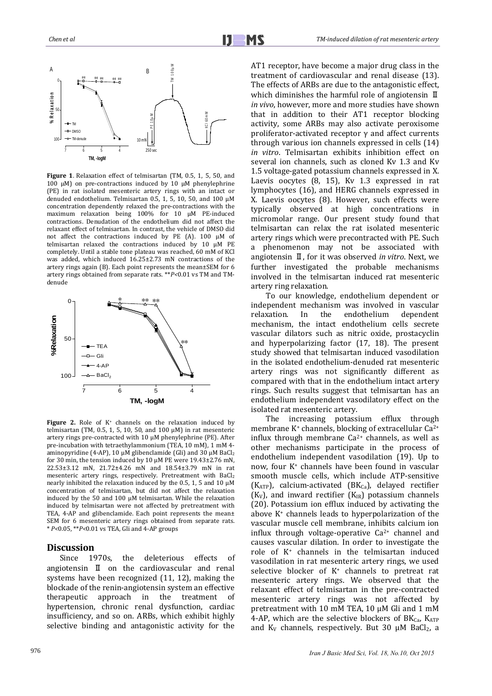

Figure 1. Relaxation effect of telmisartan (TM, 0.5, 1, 5, 50, and 100 μM) on pre-contractions induced by 10 μM phenylephrine (PE) in rat isolated mesenteric artery rings with an intact or denuded endothelium. Telmisartan 0.5, 1, 5, 10, 50, and 100  $\mu$ M concentration dependently relaxed the pre-contractions with the maximum relaxation being 100% for 10 μM PE-induced contractions. Denudation of the endothelium did not affect the relaxant effect of telmisartan. In contrast, the vehicle of DMSO did not affect the contractions induced by PE  $(A)$ . 100  $\mu$ M of telmisartan relaxed the contractions induced by 10 μM PE completely. Until a stable tone plateau was reached, 60 mM of KCl was added, which induced  $16.25\pm2.73$  mN contractions of the artery rings again (B). Each point represents the mean $\pm$ SEM for 6 artery rings obtained from separate rats. \*\**P*<0.01 vs TM and TMdenude 



**Figure** 2. Role of  $K^+$  channels on the relaxation induced by telmisartan (TM, 0.5, 1, 5, 10, 50, and 100  $\mu$ M) in rat mesenteric artery rings pre-contracted with  $10 \mu$ M phenylephrine (PE). After pre-incubation with tetraethylammonium (TEA, 10 mM), 1 mM 4aminopyridine  $(4-AP)$ , 10  $\mu$ M glibenclamide  $\int$ Gli) and 30  $\mu$ M BaCl<sub>2</sub> for 30 min, the tension induced by 10  $\mu$ M PE were 19.43±2.76 mN, 22.53±3.12 mN, 21.72±4.26 mN and 18.54±3.79 mN in rat mesenteric artery rings, respectively. Pretreatment with BaCl<sub>2</sub> nearly inhibited the relaxation induced by the  $0.5, 1, 5$  and  $10 \mu$ M concentration of telmisartan, but did not affect the relaxation induced by the  $50$  and  $100 \mu$ M telmisartan. While the relaxation induced by telmisartan were not affected by pretreatment with TEA, 4-AP and glibenclamide. Each point represents the mean± SEM for 6 mesenteric artery rings obtained from separate rats. \* *P<*0.05, \*\**P<*0.01 vs TEA, Gli and 4‐AP groups 

# **Discussion**

Since 1970s, the deleterious effects of angiotensin  $\mathbb I$  on the cardiovascular and renal systems have been recognized  $(11, 12)$ , making the blockade of the renin-angiotensin system an effective therapeutic approach in the treatment of hypertension, chronic renal dysfunction, cardiac insufficiency, and so on. ARBs, which exhibit highly selective binding and antagonistic activity for the

AT1 receptor, have become a major drug class in the treatment of cardiovascular and renal disease (13). The effects of ARBs are due to the antagonistic effect, which diminishes the harmful role of angiotensin  $\mathbb I$ *in vivo*, however, more and more studies have shown that in addition to their AT1 receptor blocking activity, some ARBs may also activate peroxisome proliferator-activated receptor  $\gamma$  and affect currents through various ion channels expressed in cells  $(14)$ *in vitro*. Telmisartan exhibits inhibition effect on several ion channels, such as cloned Kv 1.3 and Kv 1.5 voltage-gated potassium channels expressed in X. Laevis oocytes  $(8, 15)$ , Kv 1.3 expressed in rat lymphocytes (16), and HERG channels expressed in X. Laevis oocytes (8). However, such effects were typically observed at high concentrations in micromolar range. Our present study found that telmisartan can relax the rat isolated mesenteric artery rings which were precontracted with PE. Such a phenomenon may not be associated with angiotensin  $\mathbb{I}$ , for it was observed *in vitro*. Next, we further investigated the probable mechanisms involved in the telmisartan induced rat mesenteric artery ring relaxation.

 To our knowledge, endothelium dependent or independent mechanism was involved in vascular relaxation. In the endothelium dependent mechanism, the intact endothelium cells secrete vascular dilators such as nitric oxide, prostacyclin and hyperpolarizing factor  $(17, 18)$ . The present study showed that telmisartan induced vasodilation in the isolated endothelium-denuded rat mesenteric artery rings was not significantly different as compared with that in the endothelium intact artery rings. Such results suggest that telmisartan has an endothelium independent vasodilatory effect on the isolated rat mesenteric artery.

The increasing potassium efflux through membrane  $K^+$  channels, blocking of extracellular Ca<sup>2+</sup> influx through membrane  $Ca^{2+}$  channels, as well as other mechanisms participate in the process of endothelium independent vasodilation (19). Up to now, four  $K^+$  channels have been found in vascular smooth muscle cells, which include ATP-sensitive  $(K_{ATP})$ , calcium-activated  $(BK_{Ca})$ , delayed rectifier  $(K_V)$ , and inward rectifier  $(K_{IR})$  potassium channels (20). Potassium ion efflux induced by activating the above  $K^+$  channels leads to hyperpolarization of the vascular muscle cell membrane, inhibits calcium ion influx through voltage-operative  $Ca^{2+}$  channel and causes vascular dilation. In order to investigate the role of  $K<sup>+</sup>$  channels in the telmisartan induced vasodilation in rat mesenteric artery rings, we used selective blocker of  $K^+$  channels to pretreat rat mesenteric artery rings. We observed that the relaxant effect of telmisartan in the pre-contracted mesenteric artery rings was not affected by pretreatment with 10 mM TEA, 10  $\mu$ M Gli and 1 mM 4-AP, which are the selective blockers of  $BK_{Ca}$ ,  $K_{ATP}$ and  $K_V$  channels, respectively. But 30  $\mu$ M BaCl<sub>2</sub>, a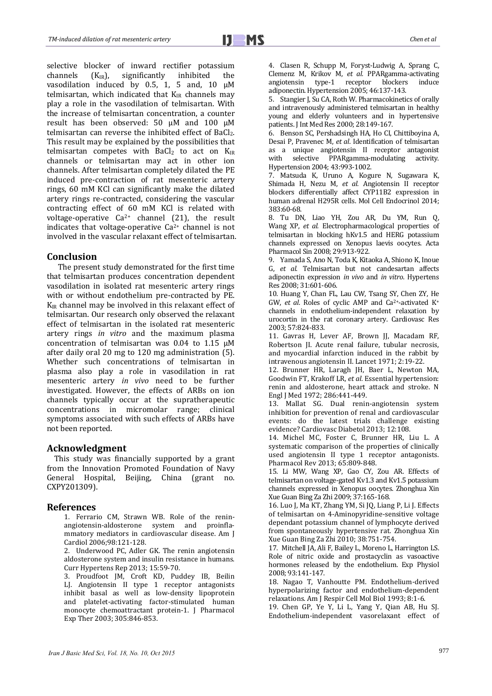selective blocker of inward rectifier potassium channels  $(K_{IR})$ , significantly inhibited the vasodilation induced by 0.5, 1, 5 and,  $10 \mu M$ telmisartan, which indicated that  $K_{IR}$  channels may play a role in the vasodilation of telmisartan. With the increase of telmisartan concentration, a counter result has been observed: 50 μM and 100 μM telmisartan can reverse the inhibited effect of BaCl<sub>2</sub>. This result may be explained by the possibilities that telmisartan competes with  $BaCl<sub>2</sub>$  to act on  $K_{IR}$ channels or telmisartan may act in other ion channels. After telmisartan completely dilated the PE induced pre-contraction of rat mesenteric artery rings, 60 mM KCl can significantly make the dilated artery rings re-contracted, considering the vascular contracting effect of 60 mM KCl is related with voltage-operative  $Ca^{2+}$  channel (21), the result indicates that voltage-operative  $Ca^{2+}$  channel is not involved in the vascular relaxant effect of telmisartan.

# **Conclusion**

The present study demonstrated for the first time that telmisartan produces concentration dependent vasodilation in isolated rat mesenteric artery rings with or without endothelium pre-contracted by PE.  $K_{IR}$  channel may be involved in this relaxant effect of telmisartan. Our research only observed the relaxant effect of telmisartan in the isolated rat mesenteric artery rings *in vitro* and the maximum plasma concentration of telmisartan was  $0.04$  to  $1.15 \mu M$ after daily oral 20 mg to 120 mg administration  $(5)$ . Whether such concentrations of telmisartan in plasma also play a role in vasodilation in rat mesenteric artery *in vivo* need to be further investigated. However, the effects of ARBs on ion channels typically occur at the supratherapeutic concentrations in micromolar range; clinical symptoms associated with such effects of ARBs have not been reported.

# **Acknowledgment**

This study was financially supported by a grant from the Innovation Promoted Foundation of Navy General Hospital, Beijing, China (grant no. CXPY201309). 

# **References**

1. Ferrario CM, Strawn WB. Role of the reninangiotensin-aldosterone system and proinflammatory mediators in cardiovascular disease. Am I Cardiol 2006;98:121‐128. 

2. Underwood PC, Adler GK. The renin angiotensin aldosterone system and insulin resistance in humans. Curr Hypertens Rep 2013; 15:59-70.

3. Proudfoot JM, Croft KD, Puddey IB, Beilin LJ. Angiotensin II type 1 receptor antagonists inhibit basal as well as low-density lipoprotein and platelet-activating factor-stimulated human monocyte chemoattractant protein-1. J Pharmacol Exp Ther 2003; 305:846-853.

4. Clasen R, Schupp M, Foryst-Ludwig A, Sprang C, Clemenz M, Krikov M, *et al.* PPARgamma‐activating angiotensin type-1 receptor blockers induce adiponectin. Hypertension 2005: 46:137-143.

5. Stangier J, Su CA, Roth W. Pharmacokinetics of orally and intravenously administered telmisartan in healthy young and elderly volunteers and in hypertensive patients. J Int Med Res 2000; 28:149-167.

6. Benson SC, Pershadsingh HA, Ho CI, Chittiboyina A, Desai P. Pravenec M. *et al.* Identification of telmisartan as a unique angiotensin II receptor antagonist with selective PPARgamma-modulating activity. Hypertension 2004; 43:993-1002.

7. Matsuda K, Uruno A, Kogure N, Sugawara K, Shimada H, Nezu M, et al. Angiotensin II receptor blockers differentially affect CYP11B2 expression in human adrenal H295R cells. Mol Cell Endocrinol 2014; 383:60‐68. 

8. Tu DN, Liao YH, Zou AR, Du YM, Run Q, Wang XP, *et al.* Electropharmacological properties of telmisartan in blocking hKv1.5 and HERG potassium channels expressed on Xenopus laevis oocytes. Acta Pharmacol Sin 2008; 29:913-922.

9. Yamada S, Ano N, Toda K, Kitaoka A, Shiono K, Inoue G, *et al.* Telmisartan but not candesartan affects adiponectin expression *in vivo* and *in vitro*. Hypertens Res 2008; 31:601-606.

10. Huang Y, Chan FL, Lau CW, Tsang SY, Chen ZY, He GW, et al. Roles of cyclic AMP and Ca<sup>2+</sup>-activated K<sup>+</sup> channels in endothelium-independent relaxation by urocortin in the rat coronary artery. Cardiovasc Res 2003; 57:824‐833. 

11. Gavras H, Lever AF, Brown JJ, Macadam RF, Robertson JI. Acute renal failure, tubular necrosis, and myocardial infarction induced in the rabbit by intravenous angiotensin II. Lancet 1971; 2:19-22.

12. Brunner HR, Laragh JH, Baer L, Newton MA, Goodwin FT, Krakoff LR, et al. Essential hypertension: renin and aldosterone, heart attack and stroke. N Engl J Med 1972; 286:441-449.

13. Mallat SG. Dual renin-angiotensin system inhibition for prevention of renal and cardiovascular events: do the latest trials challenge existing evidence? Cardiovasc Diabetol 2013; 12:108.

14. Michel MC, Foster C, Brunner HR, Liu L. A systematic comparison of the properties of clinically used angiotensin II type 1 receptor antagonists. Pharmacol Rev 2013; 65:809-848.

15. Li MW, Wang XP, Gao CY, Zou AR. Effects of telmisartan on voltage-gated Kv1.3 and Kv1.5 potassium channels expressed in Xenopus oocytes. Zhonghua Xin Xue Guan Bing Za Zhi 2009; 37:165‐168. 

16. Luo J, Ma KT, Zhang YM, Si JO, Liang P, Li J. Effects of telmisartan on 4-Aminopyridine-sensitive voltage dependant potassium channel of lymphocyte derived from spontaneously hypertensive rat. Zhonghua Xin Xue Guan Bing Za Zhi 2010; 38:751‐754. 

17. Mitchell JA, Ali F, Bailey L, Moreno L, Harrington LS. Role of nitric oxide and prostacyclin as vasoactive hormones released by the endothelium. Exp Physiol 2008; 93:141‐147. 

18. Nagao T, Vanhoutte PM. Endothelium-derived hyperpolarizing factor and endothelium-dependent relaxations. Am J Respir Cell Mol Biol 1993; 8:1-6.

19. Chen GP, Ye Y, Li L, Yang Y, Qian AB, Hu SJ. Endothelium-independent vasorelaxant effect of